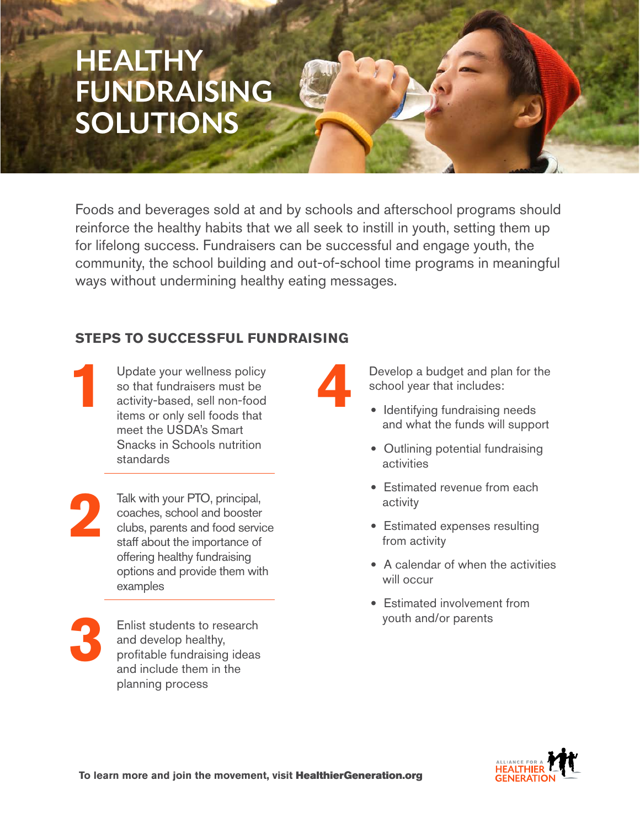# **HEALTHY** FUNDRAISING **SOLUTIONS**

Foods and beverages sold at and by schools and afterschool programs should reinforce the healthy habits that we all seek to instill in youth, setting them up for lifelong success. Fundraisers can be successful and engage youth, the community, the school building and out-of-school time programs in meaningful ways without undermining healthy eating messages.

## **STEPS TO SUCCESSFUL FUNDRAISING**

Update your wellness policy so that fundraisers must be activity-based, sell non-food items or only sell foods that meet the USDA's Smart Snacks in Schools nutrition standards **1**

Talk with your PTO, principal, coaches, school and booster clubs, parents and food service staff about the importance of offering healthy fundraising options and provide them with examples **2**

**3**

Enlist students to research and develop healthy, profitable fundraising ideas and include them in the planning process

**4**

Develop a budget and plan for the school year that includes:

- Identifying fundraising needs and what the funds will support
- Outlining potential fundraising activities
- Estimated revenue from each activity
- Estimated expenses resulting from activity
- A calendar of when the activities will occur
- Estimated involvement from youth and/or parents